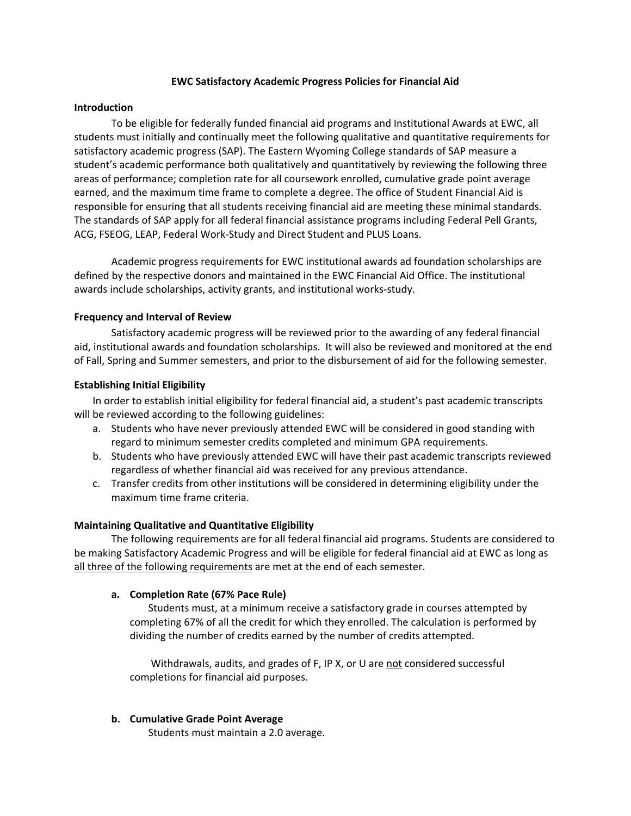#### **EWC Satisfactory Academic Progress Policies for Financial Aid**

#### **Introduction**

To be eligible for federally funded financial aid programs and Institutional Awards at EWC, all students must initially and continually meet the following qualitative and quantitative requirements for satisfactory academic progress (SAP). The Eastern Wyoming College standards of SAP measure a student's academic performance both qualitatively and quantitatively by reviewing the following three areas of performance; completion rate for all coursework enrolled, cumulative grade point average earned, and the maximum time frame to complete a degree. The office of Student Financial Aid is responsible for ensuring that all students receiving financial aid are meeting these minimal standards. The standards of SAP apply for all federal financial assistance programs including Federal Pell Grants, ACG, FSEOG, LEAP, Federal Work‐Study and Direct Student and PLUS Loans.

Academic progress requirements for EWC institutional awards ad foundation scholarships are defined by the respective donors and maintained in the EWC Financial Aid Office. The institutional awards include scholarships, activity grants, and institutional works‐study.

## **Frequency and Interval of Review**

Satisfactory academic progress will be reviewed prior to the awarding of any federal financial aid, institutional awards and foundation scholarships. It will also be reviewed and monitored at the end of Fall, Spring and Summer semesters, and prior to the disbursement of aid for the following semester.

### **Establishing Initial Eligibility**

In order to establish initial eligibility for federal financial aid, a student's past academic transcripts will be reviewed according to the following guidelines:

- a. Students who have never previously attended EWC will be considered in good standing with regard to minimum semester credits completed and minimum GPA requirements.
- b. Students who have previously attended EWC will have their past academic transcripts reviewed regardless of whether financial aid was received for any previous attendance.
- c. Transfer credits from other institutions will be considered in determining eligibility under the maximum time frame criteria.

## **Maintaining Qualitative and Quantitative Eligibility**

The following requirements are for all federal financial aid programs. Students are considered to be making Satisfactory Academic Progress and will be eligible for federal financial aid at EWC as long as all three of the following requirements are met at the end of each semester.

## **a. Completion Rate (67% Pace Rule)**

Students must, at a minimum receive a satisfactory grade in courses attempted by completing 67% of all the credit for which they enrolled. The calculation is performed by dividing the number of credits earned by the number of credits attempted.

Withdrawals, audits, and grades of F, IP X, or U are not considered successful completions for financial aid purposes.

## **b. Cumulative Grade Point Average**

Students must maintain a 2.0 average.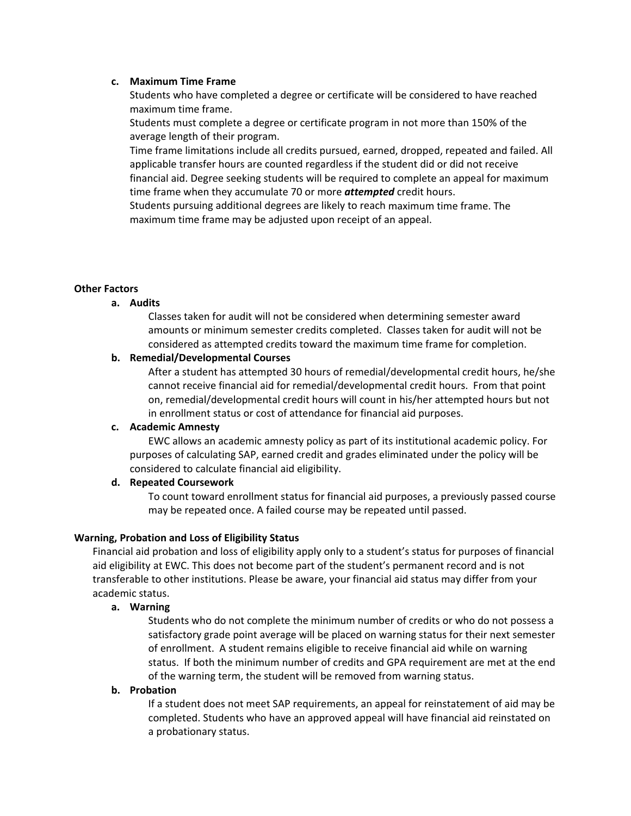### **c. Maximum Time Frame**

Students who have completed a degree or certificate will be considered to have reached maximum time frame.

Students must complete a degree or certificate program in not more than 150% of the average length of their program.

Time frame limitations include all credits pursued, earned, dropped, repeated and failed. All applicable transfer hours are counted regardless if the student did or did not receive financial aid. Degree seeking students will be required to complete an appeal for maximum time frame when they accumulate 70 or more *attempted* credit hours.

Students pursuing additional degrees are likely to reach maximum time frame. The maximum time frame may be adjusted upon receipt of an appeal.

## **Other Factors**

### **a. Audits**

Classes taken for audit will not be considered when determining semester award amounts or minimum semester credits completed. Classes taken for audit will not be considered as attempted credits toward the maximum time frame for completion.

### **b. Remedial/Developmental Courses**

After a student has attempted 30 hours of remedial/developmental credit hours, he/she cannot receive financial aid for remedial/developmental credit hours. From that point on, remedial/developmental credit hours will count in his/her attempted hours but not in enrollment status or cost of attendance for financial aid purposes.

#### **c. Academic Amnesty**

EWC allows an academic amnesty policy as part of its institutional academic policy. For purposes of calculating SAP, earned credit and grades eliminated under the policy will be considered to calculate financial aid eligibility.

#### **d. Repeated Coursework**

To count toward enrollment status for financial aid purposes, a previously passed course may be repeated once. A failed course may be repeated until passed.

## **Warning, Probation and Loss of Eligibility Status**

Financial aid probation and loss of eligibility apply only to a student's status for purposes of financial aid eligibility at EWC. This does not become part of the student's permanent record and is not transferable to other institutions. Please be aware, your financial aid status may differ from your academic status.

## **a. Warning**

Students who do not complete the minimum number of credits or who do not possess a satisfactory grade point average will be placed on warning status for their next semester of enrollment. A student remains eligible to receive financial aid while on warning status. If both the minimum number of credits and GPA requirement are met at the end of the warning term, the student will be removed from warning status.

### **b. Probation**

If a student does not meet SAP requirements, an appeal for reinstatement of aid may be completed. Students who have an approved appeal will have financial aid reinstated on a probationary status.